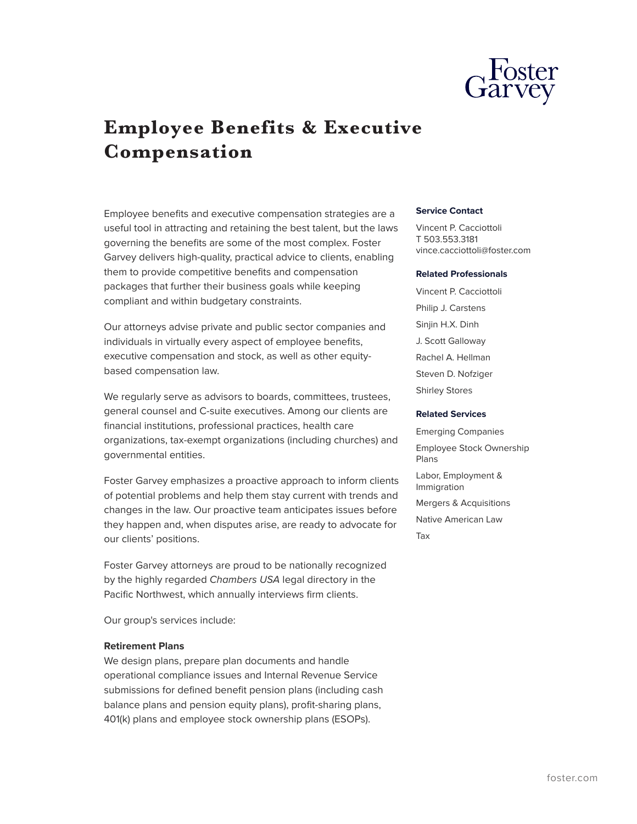

# **Employee Benefits & Executive Compensation**

Employee benefits and executive compensation strategies are a useful tool in attracting and retaining the best talent, but the laws governing the benefits are some of the most complex. Foster Garvey delivers high-quality, practical advice to clients, enabling them to provide competitive benefits and compensation packages that further their business goals while keeping compliant and within budgetary constraints.

Our attorneys advise private and public sector companies and individuals in virtually every aspect of employee benefits, executive compensation and stock, as well as other equitybased compensation law.

We regularly serve as advisors to boards, committees, trustees, general counsel and C-suite executives. Among our clients are financial institutions, professional practices, health care organizations, tax-exempt organizations (including churches) and governmental entities.

Foster Garvey emphasizes a proactive approach to inform clients of potential problems and help them stay current with trends and changes in the law. Our proactive team anticipates issues before they happen and, when disputes arise, are ready to advocate for our clients' positions.

Foster Garvey attorneys are proud to be nationally recognized by the highly regarded *Chambers USA* legal directory in the Pacific Northwest, which annually interviews firm clients.

Our group's services include:

#### **Retirement Plans**

We design plans, prepare plan documents and handle operational compliance issues and Internal Revenue Service submissions for defined benefit pension plans (including cash balance plans and pension equity plans), profit-sharing plans, 401(k) plans and employee stock ownership plans (ESOPs).

#### **Service Contact**

Vincent P. Cacciottoli T 503.553.3181 vince.cacciottoli@foster.com

#### **Related Professionals**

Vincent P. Cacciottoli Philip J. Carstens Sinjin H.X. Dinh J. Scott Galloway Rachel A. Hellman Steven D. Nofziger Shirley Stores

#### **Related Services**

Emerging Companies Employee Stock Ownership Plans Labor, Employment & Immigration Mergers & Acquisitions Native American Law Tax